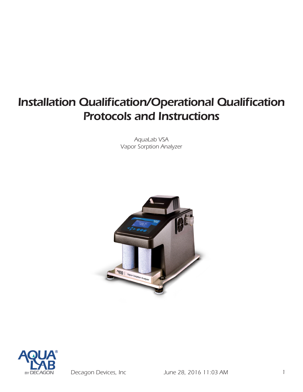# *Installation Qualification/Operational Qualification Protocols and Instructions*

*AquaLab VSA Vapor Sorption Analyzer*





*Decagon Devices, Inc June 28, 2016 11:03 AM 1*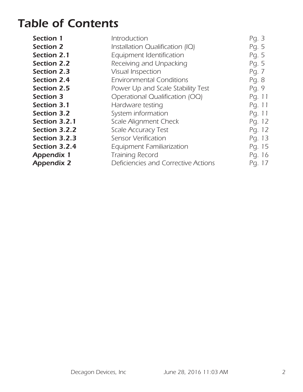## *Table of Contents*

| Section 1          | Introduction                        | Pg. 3  |
|--------------------|-------------------------------------|--------|
| <b>Section 2</b>   | Installation Qualification (IQ)     | Pg. 5  |
| Section 2.1        | Equipment Identification            | Pg. 5  |
| <b>Section 2.2</b> | Receiving and Unpacking             | Pg. 5  |
| <b>Section 2.3</b> | <b>Visual Inspection</b>            | Pg. 7  |
| <b>Section 2.4</b> | <b>Environmental Conditions</b>     | Pg. 8  |
| <b>Section 2.5</b> | Power Up and Scale Stability Test   | Pg. 9  |
| <b>Section 3</b>   | Operational Qualification (OQ)      | Pg. 11 |
| Section 3.1        | Hardware testing                    | Pg. 11 |
| <b>Section 3.2</b> | System information                  | Pg. 11 |
| Section 3.2.1      | Scale Alignment Check               | Pg. 12 |
| Section 3.2.2      | <b>Scale Accuracy Test</b>          | Pg. 12 |
| Section 3.2.3      | Sensor Verification                 | Pg. 13 |
| Section 3.2.4      | <b>Equipment Familiarization</b>    | Pg. 15 |
| <b>Appendix 1</b>  | <b>Training Record</b>              | Pg. 16 |
| <b>Appendix 2</b>  | Deficiencies and Corrective Actions | Pg. 17 |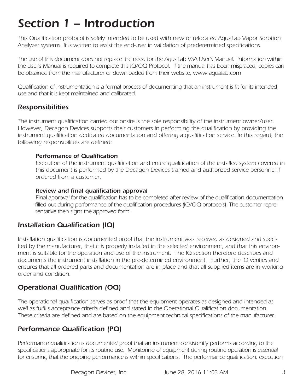# *Section 1 – Introduction*

*This Qualification protocol is solely intended to be used with new or relocated AquaLab Vapor Sorption Analyzer systems. It is written to assist the end-user in validation of predetermined specifications.* 

*The use of this document does not replace the need for the AquaLab VSA User's Manual. Information within the User's Manual is required to complete this IQ/OQ Protocol. If the manual has been misplaced, copies can be obtained from the manufacturer or downloaded from their website, www.aqualab.com*

*Qualification of instrumentation is a formal process of documenting that an instrument is fit for its intended use and that it is kept maintained and calibrated.* 

### *Responsibilities*

*The instrument qualification carried out onsite is the sole responsibility of the instrument owner/user. However, Decagon Devices supports their customers in performing the qualification by providing the*  instrument qualification dedicated documentation and offering a qualification service. In this regard, the *following responsibilities are defined:*

#### *Performance of Qualification*

*Execution of the instrument qualification and entire qualification of the installed system covered in this document is performed by the Decagon Devices trained and authorized service personnel if ordered from a customer.*

#### *Review and final qualification approval*

*Final approval for the qualification has to be completed after review of the qualification documentation filled out during performance of the qualification procedures (IQ/OQ protocols). The customer representative then signs the approved form.* 

#### *Installation Qualification (IQ)*

*Installation qualification is documented proof that the instrument was received as designed and specified by the manufacturer, that it is properly installed in the selected environment, and that this environment is suitable for the operation and use of the instrument. The IQ section therefore describes and documents the instrument installation in the pre-determined environment. Further, the IQ verifies and*  ensures that all ordered parts and documentation are in place and that all supplied items are in working *order and condition.* 

### *Operational Qualification (OQ)*

*The operational qualification serves as proof that the equipment operates as designed and intended as well as fulfills acceptance criteria defined and stated in the Operational Qualification documentation. These criteria are defined and are based on the equipment technical specifications of the manufacturer.* 

### *Performance Qualification (PQ)*

*Performance qualification is documented proof that an instrument consistently performs according to the specifications appropriate for its routine use. Monitoring of equipment during routine operation is essential*  for ensuring that the ongoing performance is within specifications. The performance qualification, execution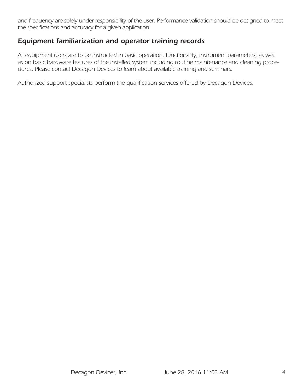and frequency are solely under responsibility of the user. Performance validation should be designed to meet *the specifications and accuracy for a given application.* 

#### *Equipment familiarization and operator training records*

*All equipment users are to be instructed in basic operation, functionality, instrument parameters, as well as on basic hardware features of the installed system including routine maintenance and cleaning procedures. Please contact Decagon Devices to learn about available training and seminars.* 

*Authorized support specialists perform the qualification services offered by Decagon Devices.*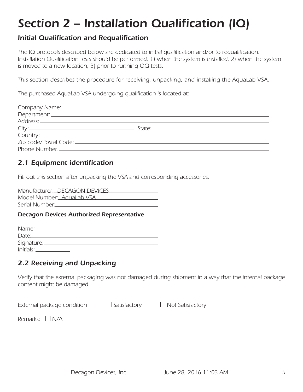# *Section 2 – Installation Qualification (IQ)*

#### *Initial Qualification and Requalification*

*The IQ protocols described below are dedicated to initial qualification and/or to requalification. Installation Qualification tests should be performed, 1) when the system is installed, 2) when the system is moved to a new location, 3) prior to running OQ tests.*

*This section describes the procedure for receiving, unpacking, and installing the AquaLab VSA.* 

*The purchased AquaLab VSA undergoing qualification is located at:*

### *2.1 Equipment identification*

*Fill out this section after unpacking the VSA and corresponding accessories.* 

| Manufacturer: DECAGON DEVICES |
|-------------------------------|
| Model Number: AquaLab VSA     |
| Serial Number:                |

#### *Decagon Devices Authorized Representative*

| Name:                        |  |
|------------------------------|--|
| Date:_                       |  |
| Signature:_____              |  |
| <u> Initials: __________</u> |  |

### *2.2 Receiving and Unpacking*

*Verify that the external packaging was not damaged during shipment in a way that the internal package content might be damaged.* 

| External package condition | $\Box$ Satisfactory | $\Box$ Not Satisfactory |
|----------------------------|---------------------|-------------------------|
| Remarks: $\Box$ N/A        |                     |                         |
|                            |                     |                         |
|                            |                     |                         |
|                            |                     |                         |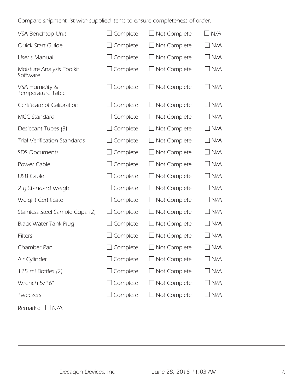*Compare shipment list with supplied items to ensure completeness of order.* 

| VSA Benchtop Unit                     | Complete         | $\Box$ Not Complete | $\Box$ N/A |
|---------------------------------------|------------------|---------------------|------------|
| Quick Start Guide                     | Complete         | $\Box$ Not Complete | $\Box$ N/A |
| User's Manual                         | $\Box$ Complete  | $\Box$ Not Complete | $\Box$ N/A |
| Moisture Analysis Toolkit<br>Software | $\perp$ Complete | $\Box$ Not Complete | $\Box$ N/A |
| VSA Humidity &<br>Temperature Table   | $\Box$ Complete  | $\Box$ Not Complete | $\Box$ N/A |
| Certificate of Calibration            | Complete         | $\Box$ Not Complete | $\Box$ N/A |
| <b>MCC Standard</b>                   | Complete         | $\Box$ Not Complete | $\Box$ N/A |
| Desiccant Tubes (3)                   | Complete         | $\Box$ Not Complete | $\Box$ N/A |
| <b>Trial Verification Standards</b>   | Complete         | $\Box$ Not Complete | $\Box$ N/A |
| <b>SDS Documents</b>                  | Complete         | $\Box$ Not Complete | $\Box$ N/A |
| Power Cable                           | Complete         | $\Box$ Not Complete | $\Box$ N/A |
| <b>USB Cable</b>                      | $\Box$ Complete  | $\Box$ Not Complete | $\Box$ N/A |
| 2 g Standard Weight                   | Complete         | $\Box$ Not Complete | $\Box$ N/A |
| Weight Certificate                    | Complete         | $\Box$ Not Complete | $\Box$ N/A |
| Stainless Steel Sample Cups (2)       | Complete         | $\Box$ Not Complete | $\Box$ N/A |
| <b>Black Water Tank Plug</b>          | Complete         | $\Box$ Not Complete | $\Box$ N/A |
| <b>Filters</b>                        | Complete         | $\Box$ Not Complete | $\Box$ N/A |
| Chamber Pan                           | Complete         | Not Complete        | ⊿N/A       |
| Air Cylinder                          | $\Box$ Complete  | $\Box$ Not Complete | $\Box$ N/A |
| 125 ml Bottles (2)                    | $\Box$ Complete  | $\Box$ Not Complete | $\Box$ N/A |
| Wrench 5/16"                          | $\Box$ Complete  | $\Box$ Not Complete | $\Box$ N/A |
| Tweezers                              | $\Box$ Complete  | $\Box$ Not Complete | $\Box$ N/A |
| Remarks: I<br>$\sqcup$ N/A            |                  |                     |            |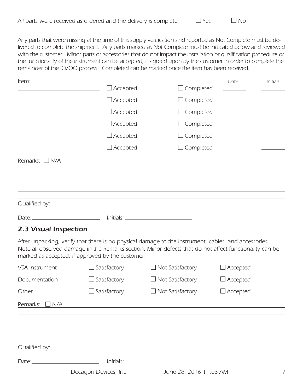| All parts were received as ordered and the delivery is complete. |  |  | $\Box$ Yes | $\Box$ No |  |
|------------------------------------------------------------------|--|--|------------|-----------|--|
|                                                                  |  |  |            |           |  |

*Any parts that were missing at the time of this supply verification and reported as Not Complete must be de*livered to complete the shipment. Any parts marked as Not Complete must be indicated below and reviewed with the customer. Minor parts or accessories that do not impact the installation or qualification procedure or the functionality of the instrument can be accepted, if agreed upon by the customer in order to complete the *remainder of the IQ/OQ process. Completed can be marked once the item has been received.*

| Item:               |                 |                  | Date                          | Initials |
|---------------------|-----------------|------------------|-------------------------------|----------|
|                     | $\Box$ Accepted | $\Box$ Completed |                               |          |
|                     | $\Box$ Accepted | $\Box$ Completed | <u> 1999 - Jan Barnett, p</u> |          |
|                     | $\Box$ Accepted | $\Box$ Completed | $\overline{\phantom{a}}$      |          |
|                     | $\Box$ Accepted | $\Box$ Completed |                               |          |
|                     | $\Box$ Accepted | $\Box$ Completed |                               |          |
|                     | $\Box$ Accepted | $\Box$ Completed | <b>Contract Contract</b>      |          |
| Remarks: $\Box$ N/A |                 |                  |                               |          |
|                     |                 |                  |                               |          |
|                     |                 |                  |                               |          |
|                     |                 |                  |                               |          |
| Qualified by:       |                 |                  |                               |          |
| $Date:$ $\qquad$    | Initials:       |                  |                               |          |

#### *2.3 Visual Inspection*

*After unpacking, verify that there is no physical damage to the instrument, cables, and accessories. Note all observed damage in the Remarks section. Minor defects that do not affect functionality can be marked as accepted, if approved by the customer.* 

| VSA Instrument         | $\Box$ Satisfactory   | $\Box$ Not Satisfactory | $\Box$ Accepted |  |
|------------------------|-----------------------|-------------------------|-----------------|--|
| Documentation          | $\Box$ Satisfactory   | $\Box$ Not Satisfactory | $\Box$ Accepted |  |
| Other                  | $\Box$ Satisfactory   | $\Box$ Not Satisfactory | $\Box$ Accepted |  |
| Remarks:<br>$\Box$ N/A |                       |                         |                 |  |
|                        |                       |                         |                 |  |
|                        |                       |                         |                 |  |
| Qualified by:          |                       |                         |                 |  |
|                        | Initials:             |                         |                 |  |
|                        | Decagon Devices, Inc. | June 28, 2016 11:03 AM  |                 |  |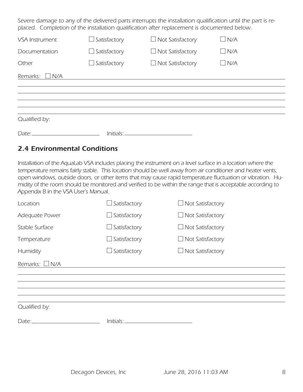*Severe damage to any of the delivered parts interrupts the installation qualification until the part is re*placed. Completion of the installation qualification after replacement is documented below.

| VSA Instrument         | $\Box$ Satisfactory | $\Box$ Not Satisfactory | $\Box$ N/A |  |
|------------------------|---------------------|-------------------------|------------|--|
| Documentation          | $\Box$ Satisfactory | $\Box$ Not Satisfactory | $\Box$ N/A |  |
| Other                  | $\Box$ Satisfactory | $\Box$ Not Satisfactory | $\Box$ N/A |  |
| $\Box$ N/A<br>Remarks: |                     |                         |            |  |
|                        |                     |                         |            |  |
|                        |                     |                         |            |  |
| Qualified by:          |                     |                         |            |  |
| Date:_                 | Initials:           |                         |            |  |

#### *2.4 Environmental Conditions*

*Installation of the AquaLab VSA includes placing the instrument on a level surface in a location where the temperature remains fairly stable. This location should be well away from air conditioner and heater vents, open windows, outside doors, or other items that may cause rapid temperature fluctuation or vibration. Humidity of the room should be monitored and verified to be within the range that is acceptable according to Appendix B in the VSA User's Manual.*

| Location            | $\Box$ Satisfactory | $\Box$ Not Satisfactory |
|---------------------|---------------------|-------------------------|
| Adequate Power      | $\Box$ Satisfactory | $\Box$ Not Satisfactory |
| Stable Surface      | $\Box$ Satisfactory | $\Box$ Not Satisfactory |
| Temperature         | $\Box$ Satisfactory | $\Box$ Not Satisfactory |
| Humidity            | Satisfactory        | $\Box$ Not Satisfactory |
| Remarks: $\Box$ N/A |                     |                         |
|                     |                     |                         |
|                     |                     |                         |
|                     |                     |                         |
| Qualified by:       |                     |                         |
| Date:               | Initials:_          |                         |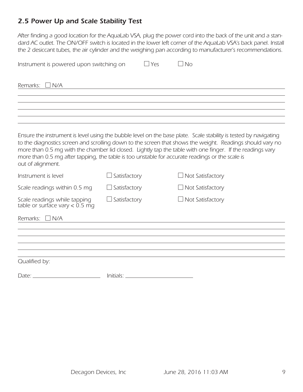### *2.5 Power Up and Scale Stability Test*

*After finding a good location for the AquaLab VSA, plug the power cord into the back of the unit and a stan*dard AC outlet. The ON/OFF switch is located in the lower left corner of the AquaLab VSA's back panel. Install *the 2 desiccant tubes, the air cylinder and the weighing pan according to manufacturer's recommendations.* 

| Instrument is powered upon switching on                                                                              |                     | $\Box$ Yes | $\Box$ No                                                                                                                                                                                                                                                                                                                                  |
|----------------------------------------------------------------------------------------------------------------------|---------------------|------------|--------------------------------------------------------------------------------------------------------------------------------------------------------------------------------------------------------------------------------------------------------------------------------------------------------------------------------------------|
| Remarks:<br>$\Box$ N/A                                                                                               |                     |            |                                                                                                                                                                                                                                                                                                                                            |
|                                                                                                                      |                     |            |                                                                                                                                                                                                                                                                                                                                            |
| more than 0.5 mg after tapping, the table is too unstable for accurate readings or the scale is<br>out of alignment. |                     |            | Ensure the instrument is level using the bubble level on the base plate. Scale stability is tested by navigating<br>to the diagnostics screen and scrolling down to the screen that shows the weight. Readings should vary no<br>more than 0.5 mg with the chamber lid closed. Lightly tap the table with one finger. If the readings vary |
| Instrument is level                                                                                                  | Satisfactory        |            | $\Box$ Not Satisfactory                                                                                                                                                                                                                                                                                                                    |
| Scale readings within 0.5 mg                                                                                         | Satisfactory        |            | $\Box$ Not Satisfactory                                                                                                                                                                                                                                                                                                                    |
| Scale readings while tapping<br>table or surface vary $< 0.5$ mg                                                     | $\Box$ Satisfactory |            | $\Box$ Not Satisfactory                                                                                                                                                                                                                                                                                                                    |
| Remarks: $\Box$ N/A                                                                                                  |                     |            |                                                                                                                                                                                                                                                                                                                                            |
|                                                                                                                      |                     |            |                                                                                                                                                                                                                                                                                                                                            |
| Qualified by:                                                                                                        |                     |            |                                                                                                                                                                                                                                                                                                                                            |
| Date:                                                                                                                | $Initials: \_\_$    |            |                                                                                                                                                                                                                                                                                                                                            |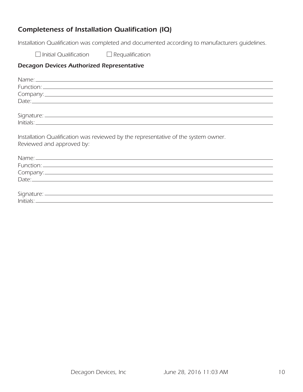#### *Completeness of Installation Qualification (IQ)*

*Installation Qualification was completed and documented according to manufacturers guidelines.* 

 *Initial Qualification Requalification*

| Installation Qualification was reviewed by the representative of the system owner.<br>Reviewed and approved by: |
|-----------------------------------------------------------------------------------------------------------------|
|                                                                                                                 |
|                                                                                                                 |
|                                                                                                                 |
|                                                                                                                 |
|                                                                                                                 |
|                                                                                                                 |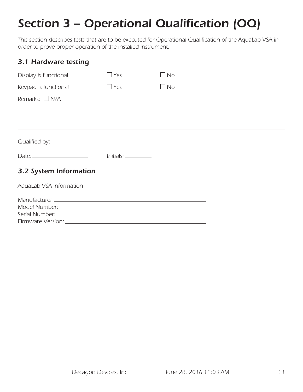# *Section 3 – Operational Qualification (OQ)*

*This section describes tests that are to be executed for Operational Qualification of the AquaLab VSA in order to prove proper operation of the installed instrument.*

| 3.1 Hardware testing                                                                                                                                                                                                                                                                                              |                                                        |                                                                                                                      |  |
|-------------------------------------------------------------------------------------------------------------------------------------------------------------------------------------------------------------------------------------------------------------------------------------------------------------------|--------------------------------------------------------|----------------------------------------------------------------------------------------------------------------------|--|
| Display is functional                                                                                                                                                                                                                                                                                             | $\Box$ Yes                                             | $\Box$ No                                                                                                            |  |
| Keypad is functional                                                                                                                                                                                                                                                                                              | $\Box$ Yes                                             | $\Box$ No                                                                                                            |  |
| Remarks: $\Box$ N/A                                                                                                                                                                                                                                                                                               |                                                        | <u> 1980 - Johann Harry Barn, mars ar y brening ar y brening ar y brening ar y brening ar y brening ar y brening</u> |  |
|                                                                                                                                                                                                                                                                                                                   |                                                        |                                                                                                                      |  |
| Qualified by:                                                                                                                                                                                                                                                                                                     |                                                        |                                                                                                                      |  |
| Date: $\frac{1}{2}$ Date: $\frac{1}{2}$ $\frac{1}{2}$ $\frac{1}{2}$ $\frac{1}{2}$ $\frac{1}{2}$ $\frac{1}{2}$ $\frac{1}{2}$ $\frac{1}{2}$ $\frac{1}{2}$ $\frac{1}{2}$ $\frac{1}{2}$ $\frac{1}{2}$ $\frac{1}{2}$ $\frac{1}{2}$ $\frac{1}{2}$ $\frac{1}{2}$ $\frac{1}{2}$ $\frac{1}{2}$ $\frac{1}{2}$ $\frac{1}{2}$ | $Initials: \_\_\_\_\_\_\_\_\_\_\_\_\_\_\_\_\_\_\_\_\_$ |                                                                                                                      |  |
| 3.2 System Information                                                                                                                                                                                                                                                                                            |                                                        |                                                                                                                      |  |
| AquaLab VSA Information                                                                                                                                                                                                                                                                                           |                                                        |                                                                                                                      |  |
|                                                                                                                                                                                                                                                                                                                   |                                                        |                                                                                                                      |  |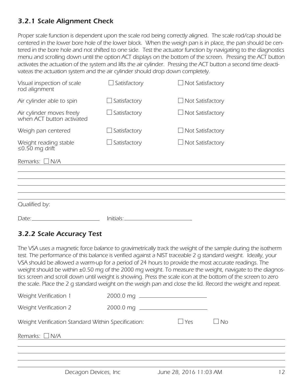### *3.2.1 Scale Alignment Check*

*Proper scale function is dependent upon the scale rod being correctly aligned. The scale rod/cap should be centered in the lower bore hole of the lower block. When the weigh pan is in place, the pan should be centered in the bore hole and not shifted to one side. Test the actuator function by navigating to the diagnostics menu and scrolling down until the option ACT displays on the bottom of the screen. Pressing the ACT button activates the actuation of the system and lifts the air cylinder. Pressing the ACT button a second time deacti*vateas the actuation system and the air cylinder should drop down completely.

| Visual inspection of scale<br>rod alignment            | $\Box$ Satisfactory | Not Satisfactory        |
|--------------------------------------------------------|---------------------|-------------------------|
| Air cylinder able to spin                              | $\Box$ Satisfactory | $\Box$ Not Satisfactory |
| Air cylinder moves freely<br>when ACT button activated | Satisfactory        | $\Box$ Not Satisfactory |
| Weigh pan centered                                     | Satisfactory        | Not Satisfactory        |
| Weight reading stable<br>≤0.50 mg drift                | Satisfactory        | Not Satisfactory        |
| Remarks: $\Box$ N/A                                    |                     |                         |
|                                                        |                     |                         |
|                                                        |                     |                         |
|                                                        |                     |                         |
| Qualified by:                                          |                     |                         |
| Date:                                                  | Initials:           |                         |

### *3.2.2 Scale Accuracy Test*

*The VSA uses a magnetic force balance to gravimetrically track the weight of the sample during the isotherm test. The performance of this balance is verified against a NIST traceable 2 g standard weight. Ideally, your VSA should be allowed a warm-up for a period of 24 hours to provide the most accurate readings. The weight should be within ±0.50 mg of the 2000 mg weight. To measure the weight, navigate to the diagnostics screen and scroll down until weight is showing. Press the scale icon at the bottom of the screen to zero the scale. Place the 2 g standard weight on the weigh pan and close the lid. Record the weight and repeat.* 

| Weight Verification 1                              |           |            |           |
|----------------------------------------------------|-----------|------------|-----------|
| Weight Verification 2                              | 2000.0 mg |            |           |
| Weight Verification Standard Within Specification: |           | $\Box$ Yes | $\Box$ No |
| Remarks: $\Box$ N/A                                |           |            |           |
|                                                    |           |            |           |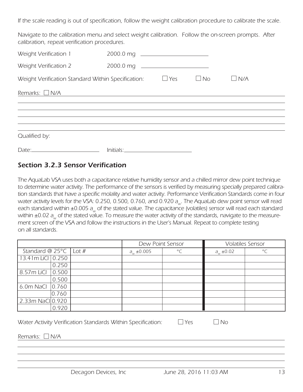*If the scale reading is out of specification, follow the weight calibration procedure to calibrate the scale.* 

*Navigate to the calibration menu and select weight calibration. Follow the on-screen prompts. After calibration, repeat verification procedures.* 

| Weight Verification 1                              | 2000.0 mq |            |           |            |  |
|----------------------------------------------------|-----------|------------|-----------|------------|--|
| Weight Verification 2                              |           |            |           |            |  |
| Weight Verification Standard Within Specification: |           | $\Box$ Yes | $\Box$ No | $\Box$ N/A |  |
| Remarks: $\Box$ N/A                                |           |            |           |            |  |
|                                                    |           |            |           |            |  |
|                                                    |           |            |           |            |  |
| Qualified by:                                      |           |            |           |            |  |
|                                                    |           |            |           |            |  |

#### *Section 3.2.3 Sensor Verification*

*The AquaLab VSA uses both a capacitance relative humidity sensor and a chilled mirror dew point technique to determine water activity. The performance of the sensors is verified by measuring specially prepared calibra*tion standards that have a specific molality and water activity. Performance Verification Standards come in four water activity levels for the VSA: 0.250, 0.500, 0.760, and 0.920 a<sub>w</sub>. The AquaLab dew point sensor will read each standard within ±0.005 a<sub>w</sub> of the stated value. The capacitance (volatiles) sensor will read each standard within ±0.02 a<sub>w</sub> of the stated value. To measure the water activity of the standards, navigate to the measurement screen of the VSA and follow the instructions in the User's Manual. Repeat to complete testing *on all standards.* 

|                                   |       | Dew Point Sensor  |           |                  | <b>Volatiles Sensor</b> |
|-----------------------------------|-------|-------------------|-----------|------------------|-------------------------|
| Standard @ 25 $\degree$ C   Lot # |       | $a_{w} \pm 0.005$ | $\circ$ C | $a_{w} \pm 0.02$ | $\circ$                 |
| 13.41m LiCI 0.250                 |       |                   |           |                  |                         |
|                                   | 0.250 |                   |           |                  |                         |
| 8.57m LiCl                        | 0.500 |                   |           |                  |                         |
|                                   | 0.500 |                   |           |                  |                         |
| 6.0m NaCl $ 0.760$                |       |                   |           |                  |                         |
|                                   | 0.760 |                   |           |                  |                         |
| 2.33m NaCl 0.920                  |       |                   |           |                  |                         |
|                                   | 0.920 |                   |           |                  |                         |

*Water Activity Verification Standards Within Specification:* □ Yes □ No

*Remarks: N/A*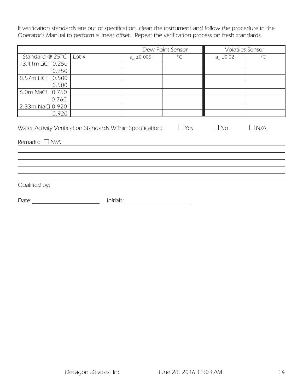*If verification standards are out of specification, clean the instrument and follow the procedure in the Operator's Manual to perform a linear offset. Repeat the verification process on fresh standards.* 

|                     |       |                                                             |                 | Dew Point Sensor |                          | <b>Volatiles Sensor</b> |
|---------------------|-------|-------------------------------------------------------------|-----------------|------------------|--------------------------|-------------------------|
| Standard @ 25°C     |       | Lot $#$                                                     | $a_w \pm 0.005$ | $^{\circ}$ C     | $\frac{a_w \pm 0.02}{2}$ | $^{\circ}$ C            |
| 13.41m LiCl         | 0.250 |                                                             |                 |                  |                          |                         |
|                     | 0.250 |                                                             |                 |                  |                          |                         |
| 8.57m LiCl          | 0.500 |                                                             |                 |                  |                          |                         |
|                     | 0.500 |                                                             |                 |                  |                          |                         |
| 6.0m NaCl           | 0.760 |                                                             |                 |                  |                          |                         |
|                     | 0.760 |                                                             |                 |                  |                          |                         |
| 2.33m NaCI 0.920    |       |                                                             |                 |                  |                          |                         |
|                     | 0.920 |                                                             |                 |                  |                          |                         |
|                     |       | Water Activity Verification Standards Within Specification: |                 | $\Box$ Yes       | $\Box$ No                | $\Box$ N/A              |
| Remarks: $\Box$ N/A |       |                                                             |                 |                  |                          |                         |
|                     |       |                                                             |                 |                  |                          |                         |
|                     |       |                                                             |                 |                  |                          |                         |
|                     |       |                                                             |                 |                  |                          |                         |
|                     |       |                                                             |                 |                  |                          |                         |
| Qualified by:       |       |                                                             |                 |                  |                          |                         |

*Date: Initials:*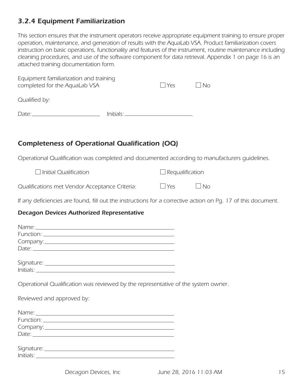#### *3.2.4 Equipment Familiarization*

*This section ensures that the instrument operators receive appropriate equipment training to ensure proper operation, maintenance, and generation of results with the AquaLab VSA. Product familiarization covers*  instruction on basic operations, functionality and features of the instrument, routine maintenance including *cleaning procedures, and use of the software component for data retrieval. Appendix 1 on page 16 is an attached training documentation form.*

| Equipment familiarization and training<br>completed for the AquaLab VSA |                       | $\Box$ Yes | $\Box$ No |
|-------------------------------------------------------------------------|-----------------------|------------|-----------|
| Qualified by:                                                           |                       |            |           |
|                                                                         | Initials <sup>.</sup> |            |           |

### *Completeness of Operational Qualification (OQ)*

*Operational Qualification was completed and documented according to manufacturers guidelines.* 

| $\Box$ Initial Qualification                   | $\Box$ Requalification |           |
|------------------------------------------------|------------------------|-----------|
| Qualifications met Vendor Acceptance Criteria: | $\Box$ Yes             | $\Box$ No |

*If any deficiencies are found, fill out the instructions for a corrective action on Pg. 17 of this document.*

| Operational Qualification was reviewed by the representative of the system owner. |  |
|-----------------------------------------------------------------------------------|--|
| Reviewed and approved by:                                                         |  |
|                                                                                   |  |
|                                                                                   |  |
|                                                                                   |  |
|                                                                                   |  |
|                                                                                   |  |
|                                                                                   |  |
|                                                                                   |  |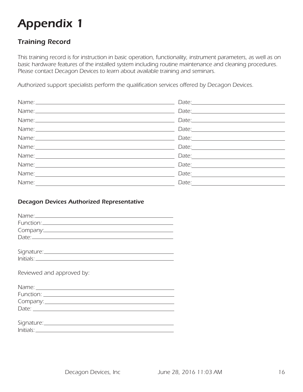# *Appendix 1*

### *Training Record*

*This training record is for instruction in basic operation, functionality, instrument parameters, as well as on basic hardware features of the installed system including routine maintenance and cleaning procedures. Please contact Decagon Devices to learn about available training and seminars.* 

*Authorized support specialists perform the qualification services offered by Decagon Devices.* 

|                                                                                                                       | $\text{Date:}\n \begin{tabular}{ c c c } \hline \multicolumn{3}{ c }{\text{Date:}}\hline \multicolumn{3}{ c }{\text{Date:}}\hline \multicolumn{3}{ c }{\text{Date:}}\hline \multicolumn{3}{ c }{\text{Date:}}\hline \multicolumn{3}{ c }{\text{Date:}}\hline \multicolumn{3}{ c }{\text{Date:}}\hline \multicolumn{3}{ c }{\text{Date:}}\hline \multicolumn{3}{ c }{\text{Date:}}\hline \multicolumn{3}{ c }{\text{Date:}}\hline \multicolumn{3}{ c }{\text{Date:$ |
|-----------------------------------------------------------------------------------------------------------------------|--------------------------------------------------------------------------------------------------------------------------------------------------------------------------------------------------------------------------------------------------------------------------------------------------------------------------------------------------------------------------------------------------------------------------------------------------------------------|
|                                                                                                                       | $\text{Date:}\n \begin{tabular}{ c c c c } \hline \hline \multicolumn{3}{ c }{\text{Date:}}\hline \multicolumn{3}{ c }{\text{Date:}}\hline \multicolumn{3}{ c }{\text{Date:}}\hline \multicolumn{3}{ c }{\text{Date:}}\hline \multicolumn{3}{ c }{\text{Date:}}\hline \multicolumn{3}{ c }{\text{Date:}}\hline \multicolumn{3}{ c }{\text{Date:}}\hline \multicolumn{3}{ c }{\text{Date:}}\hline \multicolumn{3}{ c }{\text{Date:}}\hline \multicolumn{3}{ c }{$   |
|                                                                                                                       | Date:                                                                                                                                                                                                                                                                                                                                                                                                                                                              |
|                                                                                                                       | Date: $\frac{1}{2}$                                                                                                                                                                                                                                                                                                                                                                                                                                                |
|                                                                                                                       | Date: $\overline{\phantom{a}}$                                                                                                                                                                                                                                                                                                                                                                                                                                     |
|                                                                                                                       |                                                                                                                                                                                                                                                                                                                                                                                                                                                                    |
| Name: $\frac{1}{\sqrt{1-\frac{1}{2}}\sqrt{1-\frac{1}{2}}\sqrt{1-\frac{1}{2}}\sqrt{1-\frac{1}{2}}\sqrt{1-\frac{1}{2}}$ |                                                                                                                                                                                                                                                                                                                                                                                                                                                                    |

| Reviewed and approved by: |
|---------------------------|
|                           |
|                           |
|                           |
|                           |
| Date: $\frac{1}{2}$       |
|                           |
|                           |
|                           |